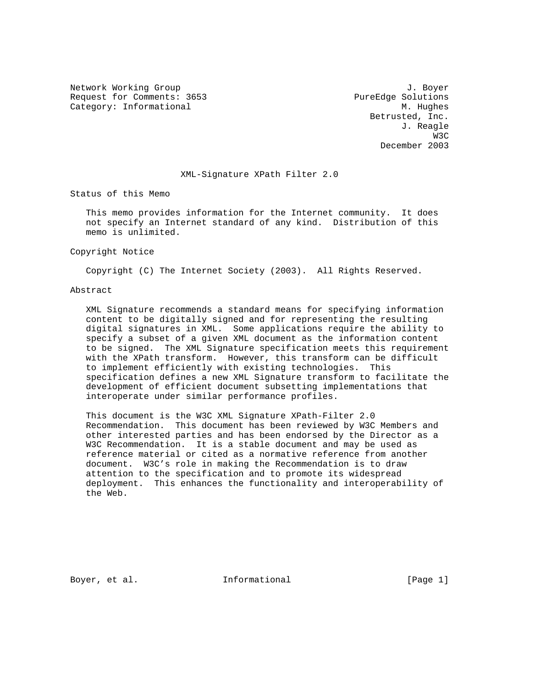Network Working Group 3. The Second Second Second Second Second Second Second Second Second Second Second Second Second Second Second Second Second Second Second Second Second Second Second Second Second Second Second Seco Request for Comments: 3653 PureEdge Solutions Category: Informational M. Hughes

 Betrusted, Inc. J. Reagle was a structured by the state of the state of the state of the state of the state of the state of the state of the state of the state of the state of the state of the state of the state of the state of the state of the sta December 2003

#### XML-Signature XPath Filter 2.0

Status of this Memo

 This memo provides information for the Internet community. It does not specify an Internet standard of any kind. Distribution of this memo is unlimited.

Copyright Notice

Copyright (C) The Internet Society (2003). All Rights Reserved.

# Abstract

 XML Signature recommends a standard means for specifying information content to be digitally signed and for representing the resulting digital signatures in XML. Some applications require the ability to specify a subset of a given XML document as the information content to be signed. The XML Signature specification meets this requirement with the XPath transform. However, this transform can be difficult to implement efficiently with existing technologies. This specification defines a new XML Signature transform to facilitate the development of efficient document subsetting implementations that interoperate under similar performance profiles.

 This document is the W3C XML Signature XPath-Filter 2.0 Recommendation. This document has been reviewed by W3C Members and other interested parties and has been endorsed by the Director as a W3C Recommendation. It is a stable document and may be used as reference material or cited as a normative reference from another document. W3C's role in making the Recommendation is to draw attention to the specification and to promote its widespread deployment. This enhances the functionality and interoperability of the Web.

Boyer, et al.  $I_n$  Informational [Page 1]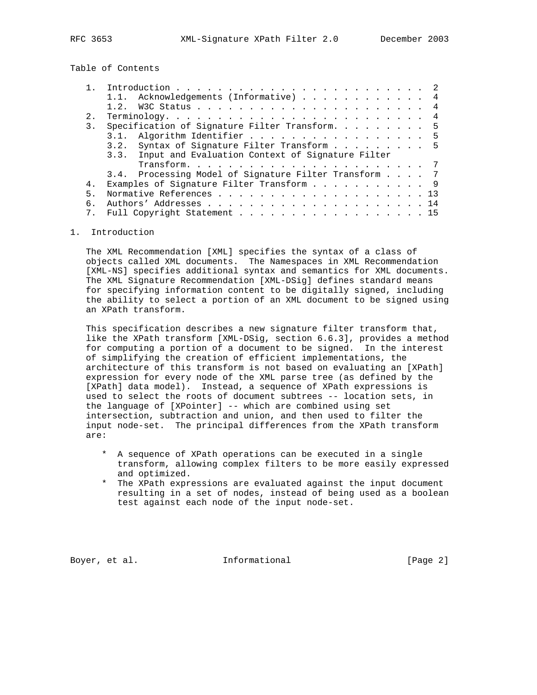Table of Contents

|     | 1.1. Acknowledgements (Informative) 4                 |
|-----|-------------------------------------------------------|
|     |                                                       |
| 2.1 |                                                       |
| 3.  | Specification of Signature Filter Transform. 5        |
|     | 3.1. Algorithm Identifier 5                           |
|     | Syntax of Signature Filter Transform 5<br>3.2.        |
|     | 3.3. Input and Evaluation Context of Signature Filter |
|     |                                                       |
|     | 3.4. Processing Model of Signature Filter Transform 7 |
| 4.  | Examples of Signature Filter Transform 9              |
| 5.  |                                                       |
| б.  |                                                       |
|     | 7. Full Copyright Statement 15                        |

# 1. Introduction

 The XML Recommendation [XML] specifies the syntax of a class of objects called XML documents. The Namespaces in XML Recommendation [XML-NS] specifies additional syntax and semantics for XML documents. The XML Signature Recommendation [XML-DSig] defines standard means for specifying information content to be digitally signed, including the ability to select a portion of an XML document to be signed using an XPath transform.

 This specification describes a new signature filter transform that, like the XPath transform [XML-DSig, section 6.6.3], provides a method for computing a portion of a document to be signed. In the interest of simplifying the creation of efficient implementations, the architecture of this transform is not based on evaluating an [XPath] expression for every node of the XML parse tree (as defined by the [XPath] data model). Instead, a sequence of XPath expressions is used to select the roots of document subtrees -- location sets, in the language of [XPointer] -- which are combined using set intersection, subtraction and union, and then used to filter the input node-set. The principal differences from the XPath transform are:

- \* A sequence of XPath operations can be executed in a single transform, allowing complex filters to be more easily expressed and optimized.
- \* The XPath expressions are evaluated against the input document resulting in a set of nodes, instead of being used as a boolean test against each node of the input node-set.

Boyer, et al. **Informational** [Page 2]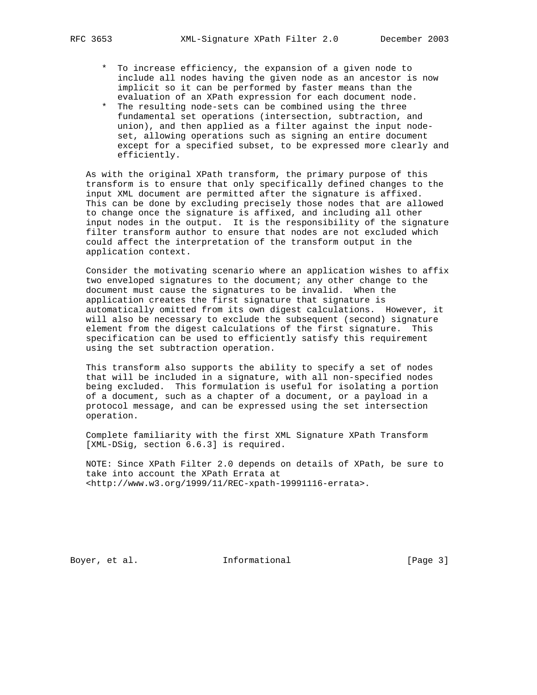- \* To increase efficiency, the expansion of a given node to include all nodes having the given node as an ancestor is now implicit so it can be performed by faster means than the evaluation of an XPath expression for each document node.
- \* The resulting node-sets can be combined using the three fundamental set operations (intersection, subtraction, and union), and then applied as a filter against the input node set, allowing operations such as signing an entire document except for a specified subset, to be expressed more clearly and efficiently.

 As with the original XPath transform, the primary purpose of this transform is to ensure that only specifically defined changes to the input XML document are permitted after the signature is affixed. This can be done by excluding precisely those nodes that are allowed to change once the signature is affixed, and including all other input nodes in the output. It is the responsibility of the signature filter transform author to ensure that nodes are not excluded which could affect the interpretation of the transform output in the application context.

 Consider the motivating scenario where an application wishes to affix two enveloped signatures to the document; any other change to the document must cause the signatures to be invalid. When the application creates the first signature that signature is automatically omitted from its own digest calculations. However, it will also be necessary to exclude the subsequent (second) signature element from the digest calculations of the first signature. This specification can be used to efficiently satisfy this requirement using the set subtraction operation.

 This transform also supports the ability to specify a set of nodes that will be included in a signature, with all non-specified nodes being excluded. This formulation is useful for isolating a portion of a document, such as a chapter of a document, or a payload in a protocol message, and can be expressed using the set intersection operation.

 Complete familiarity with the first XML Signature XPath Transform [XML-DSig, section 6.6.3] is required.

 NOTE: Since XPath Filter 2.0 depends on details of XPath, be sure to take into account the XPath Errata at <http://www.w3.org/1999/11/REC-xpath-19991116-errata>.

Boyer, et al. 100 Informational 100 [Page 3]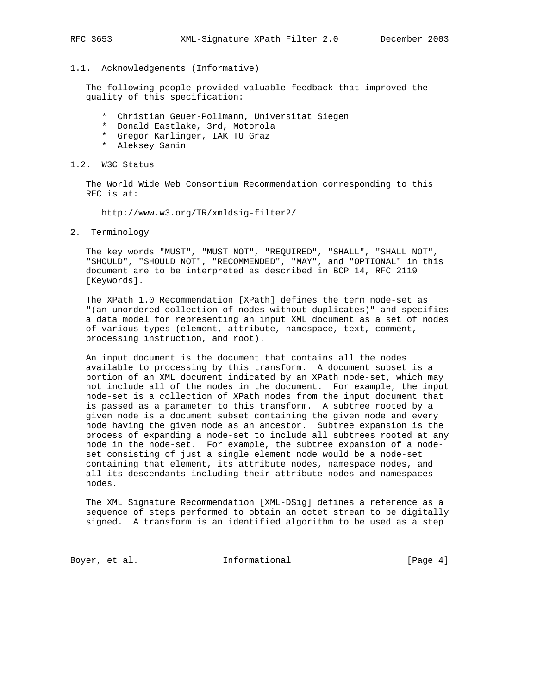# 1.1. Acknowledgements (Informative)

 The following people provided valuable feedback that improved the quality of this specification:

- \* Christian Geuer-Pollmann, Universitat Siegen
- \* Donald Eastlake, 3rd, Motorola
- \* Gregor Karlinger, IAK TU Graz
- \* Aleksey Sanin

### 1.2. W3C Status

 The World Wide Web Consortium Recommendation corresponding to this RFC is at:

http://www.w3.org/TR/xmldsig-filter2/

2. Terminology

 The key words "MUST", "MUST NOT", "REQUIRED", "SHALL", "SHALL NOT", "SHOULD", "SHOULD NOT", "RECOMMENDED", "MAY", and "OPTIONAL" in this document are to be interpreted as described in BCP 14, RFC 2119 [Keywords].

 The XPath 1.0 Recommendation [XPath] defines the term node-set as "(an unordered collection of nodes without duplicates)" and specifies a data model for representing an input XML document as a set of nodes of various types (element, attribute, namespace, text, comment, processing instruction, and root).

 An input document is the document that contains all the nodes available to processing by this transform. A document subset is a portion of an XML document indicated by an XPath node-set, which may not include all of the nodes in the document. For example, the input node-set is a collection of XPath nodes from the input document that is passed as a parameter to this transform. A subtree rooted by a given node is a document subset containing the given node and every node having the given node as an ancestor. Subtree expansion is the process of expanding a node-set to include all subtrees rooted at any node in the node-set. For example, the subtree expansion of a node set consisting of just a single element node would be a node-set containing that element, its attribute nodes, namespace nodes, and all its descendants including their attribute nodes and namespaces nodes.

 The XML Signature Recommendation [XML-DSig] defines a reference as a sequence of steps performed to obtain an octet stream to be digitally signed. A transform is an identified algorithm to be used as a step

Boyer, et al.  $I_n$  Informational [Page 4]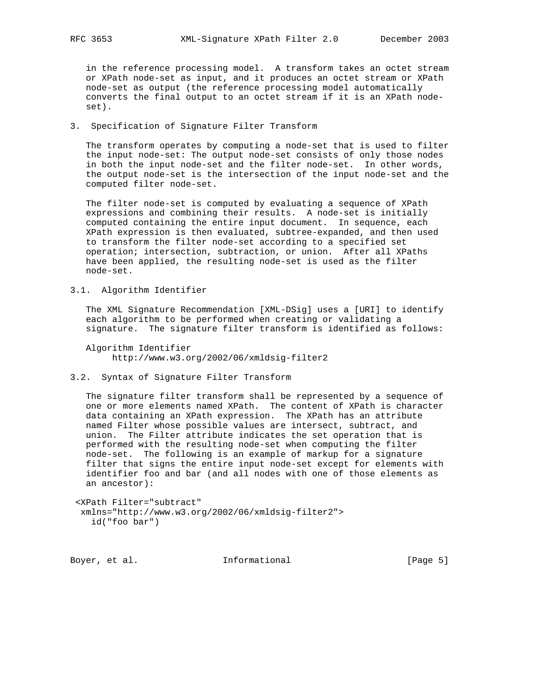in the reference processing model. A transform takes an octet stream or XPath node-set as input, and it produces an octet stream or XPath node-set as output (the reference processing model automatically converts the final output to an octet stream if it is an XPath node set).

# 3. Specification of Signature Filter Transform

 The transform operates by computing a node-set that is used to filter the input node-set: The output node-set consists of only those nodes in both the input node-set and the filter node-set. In other words, the output node-set is the intersection of the input node-set and the computed filter node-set.

 The filter node-set is computed by evaluating a sequence of XPath expressions and combining their results. A node-set is initially computed containing the entire input document. In sequence, each XPath expression is then evaluated, subtree-expanded, and then used to transform the filter node-set according to a specified set operation; intersection, subtraction, or union. After all XPaths have been applied, the resulting node-set is used as the filter node-set.

3.1. Algorithm Identifier

 The XML Signature Recommendation [XML-DSig] uses a [URI] to identify each algorithm to be performed when creating or validating a signature. The signature filter transform is identified as follows:

 Algorithm Identifier http://www.w3.org/2002/06/xmldsig-filter2

#### 3.2. Syntax of Signature Filter Transform

 The signature filter transform shall be represented by a sequence of one or more elements named XPath. The content of XPath is character data containing an XPath expression. The XPath has an attribute named Filter whose possible values are intersect, subtract, and union. The Filter attribute indicates the set operation that is performed with the resulting node-set when computing the filter node-set. The following is an example of markup for a signature filter that signs the entire input node-set except for elements with identifier foo and bar (and all nodes with one of those elements as an ancestor):

 <XPath Filter="subtract" xmlns="http://www.w3.org/2002/06/xmldsig-filter2"> id("foo bar")

Boyer, et al. 10 Informational 100 [Page 5]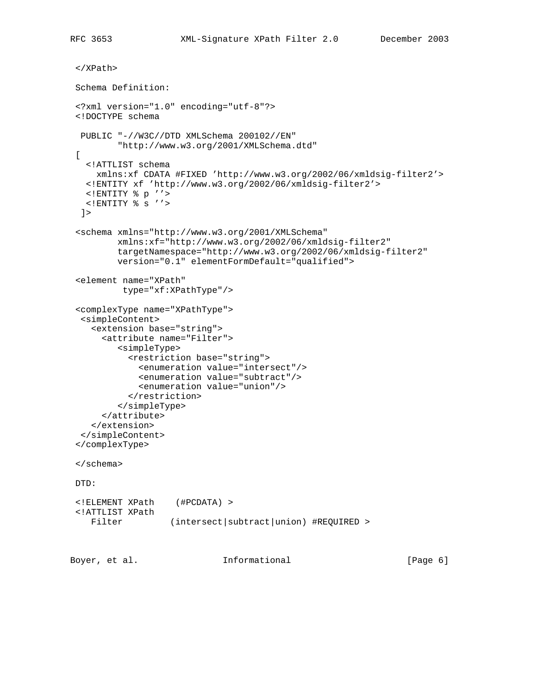```
 </XPath>
 Schema Definition:
 <?xml version="1.0" encoding="utf-8"?>
 <!DOCTYPE schema
  PUBLIC "-//W3C//DTD XMLSchema 200102//EN"
         "http://www.w3.org/2001/XMLSchema.dtd"
\Gamma <!ATTLIST schema
     xmlns:xf CDATA #FIXED 'http://www.w3.org/2002/06/xmldsig-filter2'>
   <!ENTITY xf 'http://www.w3.org/2002/06/xmldsig-filter2'>
   <!ENTITY % p ''>
   <!ENTITY % s ''>
 ] <schema xmlns="http://www.w3.org/2001/XMLSchema"
         xmlns:xf="http://www.w3.org/2002/06/xmldsig-filter2"
         targetNamespace="http://www.w3.org/2002/06/xmldsig-filter2"
         version="0.1" elementFormDefault="qualified">
 <element name="XPath"
          type="xf:XPathType"/>
 <complexType name="XPathType">
  <simpleContent>
    <extension base="string">
      <attribute name="Filter">
         <simpleType>
           <restriction base="string">
             <enumeration value="intersect"/>
             <enumeration value="subtract"/>
             <enumeration value="union"/>
           </restriction>
         </simpleType>
      </attribute>
    </extension>
  </simpleContent>
 </complexType>
 </schema>
 DTD:
 <!ELEMENT XPath (#PCDATA) >
 <!ATTLIST XPath
   Filter (intersect|subtract|union) #REQUIRED >
```
Boyer, et al. **Informational** [Page 6]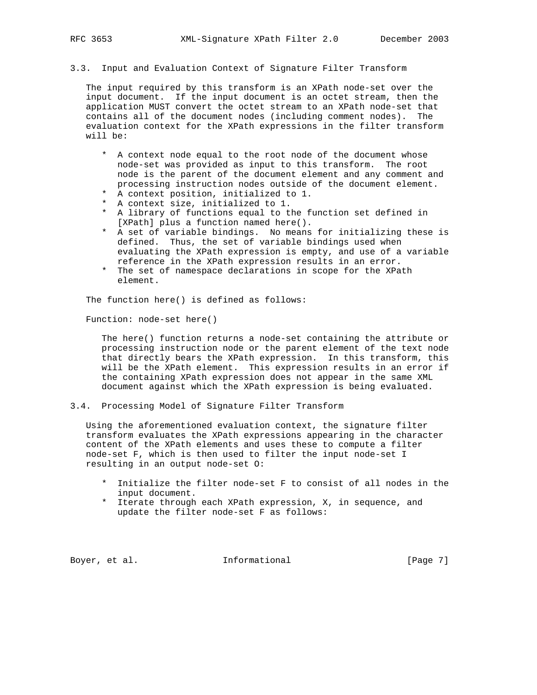# 3.3. Input and Evaluation Context of Signature Filter Transform

 The input required by this transform is an XPath node-set over the input document. If the input document is an octet stream, then the application MUST convert the octet stream to an XPath node-set that contains all of the document nodes (including comment nodes). The evaluation context for the XPath expressions in the filter transform will be:

- \* A context node equal to the root node of the document whose node-set was provided as input to this transform. The root node is the parent of the document element and any comment and processing instruction nodes outside of the document element.
- \* A context position, initialized to 1.
- \* A context size, initialized to 1.
- \* A library of functions equal to the function set defined in [XPath] plus a function named here().
- \* A set of variable bindings. No means for initializing these is defined. Thus, the set of variable bindings used when evaluating the XPath expression is empty, and use of a variable reference in the XPath expression results in an error.
- \* The set of namespace declarations in scope for the XPath element.

The function here() is defined as follows:

Function: node-set here()

 The here() function returns a node-set containing the attribute or processing instruction node or the parent element of the text node that directly bears the XPath expression. In this transform, this will be the XPath element. This expression results in an error if the containing XPath expression does not appear in the same XML document against which the XPath expression is being evaluated.

3.4. Processing Model of Signature Filter Transform

 Using the aforementioned evaluation context, the signature filter transform evaluates the XPath expressions appearing in the character content of the XPath elements and uses these to compute a filter node-set F, which is then used to filter the input node-set I resulting in an output node-set O:

- \* Initialize the filter node-set F to consist of all nodes in the input document.
- \* Iterate through each XPath expression, X, in sequence, and update the filter node-set F as follows:

Boyer, et al. **Informational** [Page 7]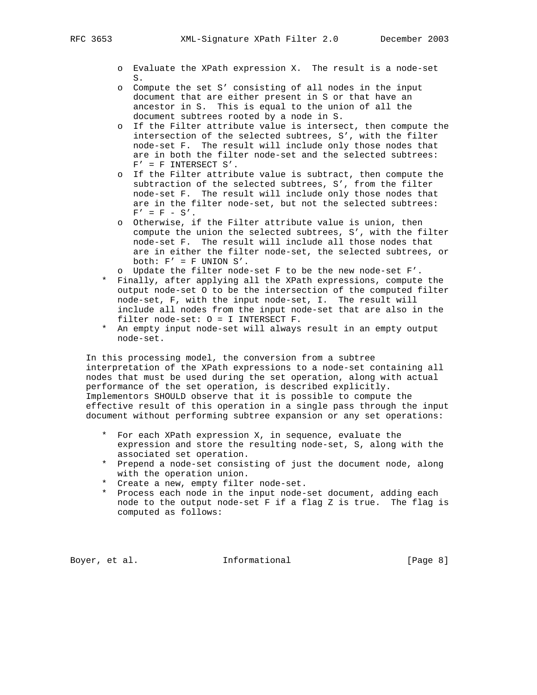- o Evaluate the XPath expression X. The result is a node-set S.
- o Compute the set S' consisting of all nodes in the input document that are either present in S or that have an ancestor in S. This is equal to the union of all the document subtrees rooted by a node in S.
- o If the Filter attribute value is intersect, then compute the intersection of the selected subtrees, S', with the filter node-set F. The result will include only those nodes that are in both the filter node-set and the selected subtrees:  $F' = F$  INTERSECT S'.
- o If the Filter attribute value is subtract, then compute the subtraction of the selected subtrees, S', from the filter node-set F. The result will include only those nodes that are in the filter node-set, but not the selected subtrees:  $F' = F - S'.$
- o Otherwise, if the Filter attribute value is union, then compute the union the selected subtrees, S', with the filter node-set F. The result will include all those nodes that are in either the filter node-set, the selected subtrees, or both:  $F' = F$  UNION  $S'$ .
- o Update the filter node-set F to be the new node-set F'.
- \* Finally, after applying all the XPath expressions, compute the output node-set O to be the intersection of the computed filter node-set, F, with the input node-set, I. The result will include all nodes from the input node-set that are also in the filter node-set: O = I INTERSECT F.
- \* An empty input node-set will always result in an empty output node-set.

 In this processing model, the conversion from a subtree interpretation of the XPath expressions to a node-set containing all nodes that must be used during the set operation, along with actual performance of the set operation, is described explicitly. Implementors SHOULD observe that it is possible to compute the effective result of this operation in a single pass through the input document without performing subtree expansion or any set operations:

- \* For each XPath expression X, in sequence, evaluate the expression and store the resulting node-set, S, along with the associated set operation.
- \* Prepend a node-set consisting of just the document node, along with the operation union.
- \* Create a new, empty filter node-set.
- \* Process each node in the input node-set document, adding each node to the output node-set F if a flag Z is true. The flag is computed as follows:

Boyer, et al. **Informational** [Page 8]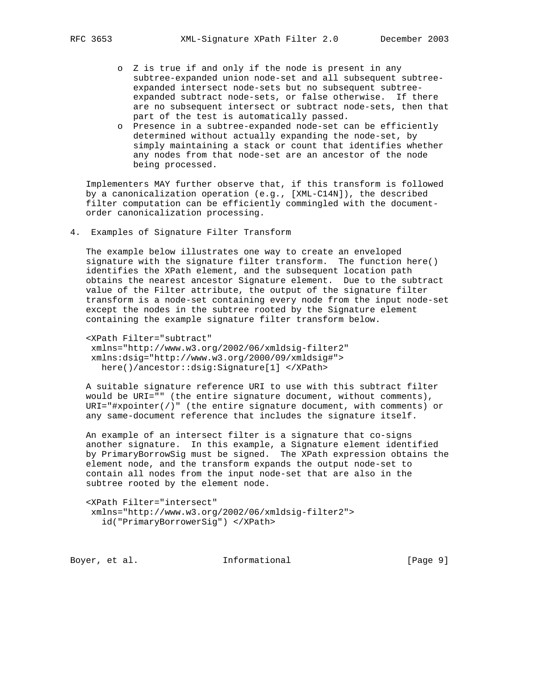- o Z is true if and only if the node is present in any subtree-expanded union node-set and all subsequent subtree expanded intersect node-sets but no subsequent subtree expanded subtract node-sets, or false otherwise. If there are no subsequent intersect or subtract node-sets, then that part of the test is automatically passed.
- o Presence in a subtree-expanded node-set can be efficiently determined without actually expanding the node-set, by simply maintaining a stack or count that identifies whether any nodes from that node-set are an ancestor of the node being processed.

 Implementers MAY further observe that, if this transform is followed by a canonicalization operation (e.g., [XML-C14N]), the described filter computation can be efficiently commingled with the document order canonicalization processing.

4. Examples of Signature Filter Transform

 The example below illustrates one way to create an enveloped signature with the signature filter transform. The function here() identifies the XPath element, and the subsequent location path obtains the nearest ancestor Signature element. Due to the subtract value of the Filter attribute, the output of the signature filter transform is a node-set containing every node from the input node-set except the nodes in the subtree rooted by the Signature element containing the example signature filter transform below.

 <XPath Filter="subtract" xmlns="http://www.w3.org/2002/06/xmldsig-filter2" xmlns:dsig="http://www.w3.org/2000/09/xmldsig#"> here()/ancestor::dsig:Signature[1] </XPath>

 A suitable signature reference URI to use with this subtract filter would be URI="" (the entire signature document, without comments), URI="#xpointer(/)" (the entire signature document, with comments) or any same-document reference that includes the signature itself.

 An example of an intersect filter is a signature that co-signs another signature. In this example, a Signature element identified by PrimaryBorrowSig must be signed. The XPath expression obtains the element node, and the transform expands the output node-set to contain all nodes from the input node-set that are also in the subtree rooted by the element node.

 <XPath Filter="intersect" xmlns="http://www.w3.org/2002/06/xmldsig-filter2"> id("PrimaryBorrowerSig") </XPath>

Boyer, et al. 10 Informational 100 [Page 9]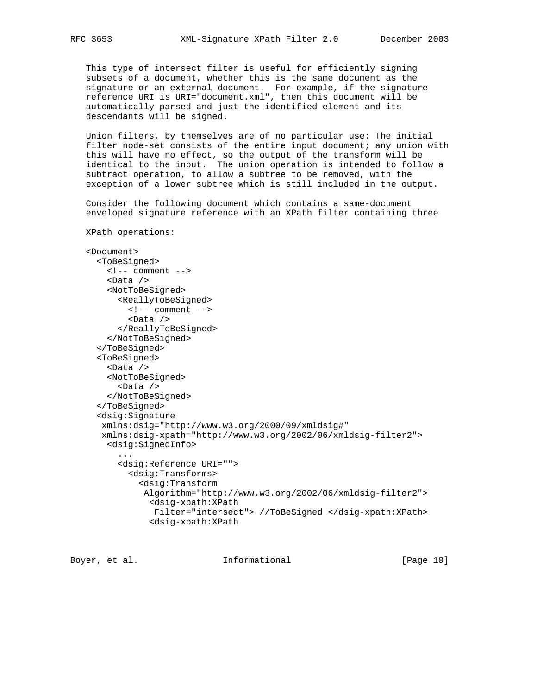This type of intersect filter is useful for efficiently signing subsets of a document, whether this is the same document as the signature or an external document. For example, if the signature reference URI is URI="document.xml", then this document will be automatically parsed and just the identified element and its descendants will be signed.

 Union filters, by themselves are of no particular use: The initial filter node-set consists of the entire input document; any union with this will have no effect, so the output of the transform will be identical to the input. The union operation is intended to follow a subtract operation, to allow a subtree to be removed, with the exception of a lower subtree which is still included in the output.

 Consider the following document which contains a same-document enveloped signature reference with an XPath filter containing three

XPath operations:

```
 <Document>
      <ToBeSigned>
       \leftarrow :-- comment -->
        <Data />
        <NotToBeSigned>
          <ReallyToBeSigned>
           \leftarrow :-- comment -->
            <Data />
          </ReallyToBeSigned>
        </NotToBeSigned>
      </ToBeSigned>
      <ToBeSigned>
        <Data />
        <NotToBeSigned>
          <Data />
        </NotToBeSigned>
      </ToBeSigned>
      <dsig:Signature
       xmlns:dsig="http://www.w3.org/2000/09/xmldsig#"
       xmlns:dsig-xpath="http://www.w3.org/2002/06/xmldsig-filter2">
        <dsig:SignedInfo>
 ...
          <dsig:Reference URI="">
            <dsig:Transforms>
              <dsig:Transform
               Algorithm="http://www.w3.org/2002/06/xmldsig-filter2">
                 <dsig-xpath:XPath
                 Filter="intersect"> //ToBeSigned </dsig-xpath:XPath>
                 <dsig-xpath:XPath
```
Boyer, et al.  $I_n$  Informational [Page 10]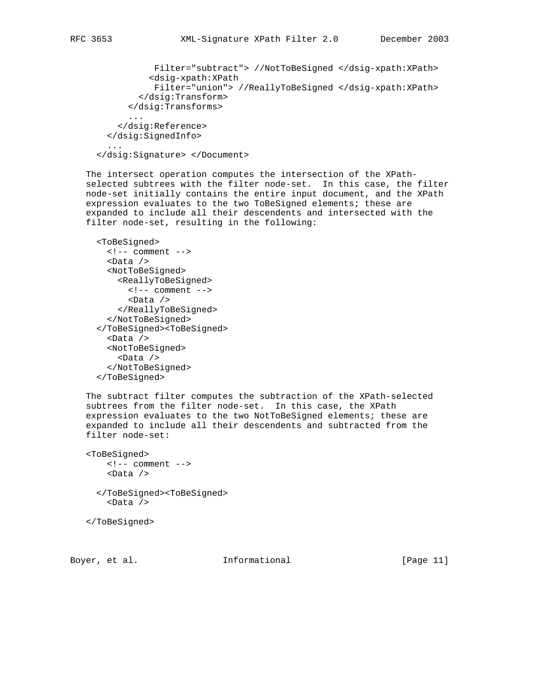```
 Filter="subtract"> //NotToBeSigned </dsig-xpath:XPath>
 <dsig-xpath:XPath
```

```
 Filter="union"> //ReallyToBeSigned </dsig-xpath:XPath>
   </dsig:Transform>
 </dsig:Transforms>
```

```
 ...
          </dsig:Reference>
       </dsig:SignedInfo>
 ...
```

```
 </dsig:Signature> </Document>
```
 The intersect operation computes the intersection of the XPath selected subtrees with the filter node-set. In this case, the filter node-set initially contains the entire input document, and the XPath expression evaluates to the two ToBeSigned elements; these are expanded to include all their descendents and intersected with the filter node-set, resulting in the following:

```
 <ToBeSigned>
  \leftarrow :-- comment -->
   <Data />
   <NotToBeSigned>
     <ReallyToBeSigned>
       <!-- comment -->
       <Data />
     </ReallyToBeSigned>
   </NotToBeSigned>
 </ToBeSigned><ToBeSigned>
   <Data />
   <NotToBeSigned>
     <Data />
   </NotToBeSigned>
 </ToBeSigned>
```
 The subtract filter computes the subtraction of the XPath-selected subtrees from the filter node-set. In this case, the XPath expression evaluates to the two NotToBeSigned elements; these are expanded to include all their descendents and subtracted from the filter node-set:

```
 <ToBeSigned>
     <!-- comment -->
     <Data />
   </ToBeSigned><ToBeSigned>
     <Data />
```
</ToBeSigned>

Boyer, et al.  $I_n$  Informational [Page 11]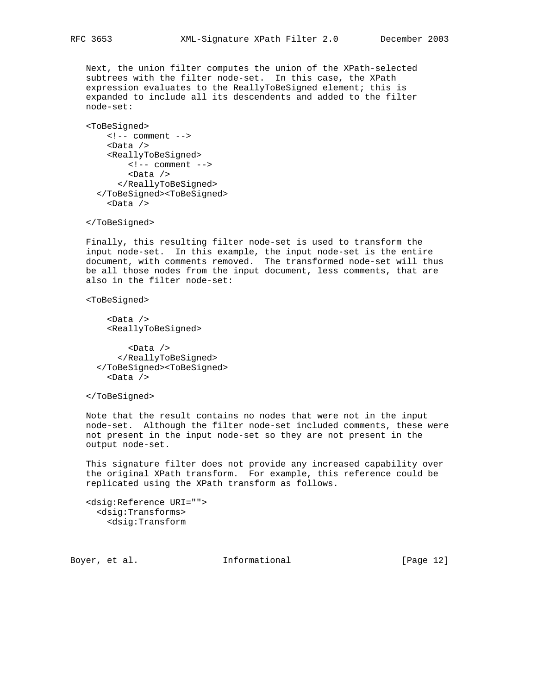Next, the union filter computes the union of the XPath-selected subtrees with the filter node-set. In this case, the XPath expression evaluates to the ReallyToBeSigned element; this is expanded to include all its descendents and added to the filter node-set:

```
 <ToBeSigned>
    \leftarrow :-- comment -->
     <Data />
     <ReallyToBeSigned>
         <!-- comment -->
         <Data />
       </ReallyToBeSigned>
   </ToBeSigned><ToBeSigned>
     <Data />
```
</ToBeSigned>

 Finally, this resulting filter node-set is used to transform the input node-set. In this example, the input node-set is the entire document, with comments removed. The transformed node-set will thus be all those nodes from the input document, less comments, that are also in the filter node-set:

<ToBeSigned>

 <Data /> <ReallyToBeSigned>

 <Data /> </ReallyToBeSigned> </ToBeSigned><ToBeSigned> <Data />

</ToBeSigned>

 Note that the result contains no nodes that were not in the input node-set. Although the filter node-set included comments, these were not present in the input node-set so they are not present in the output node-set.

 This signature filter does not provide any increased capability over the original XPath transform. For example, this reference could be replicated using the XPath transform as follows.

```
 <dsig:Reference URI="">
   <dsig:Transforms>
    <dsig:Transform
```
Boyer, et al. **Informational** [Page 12]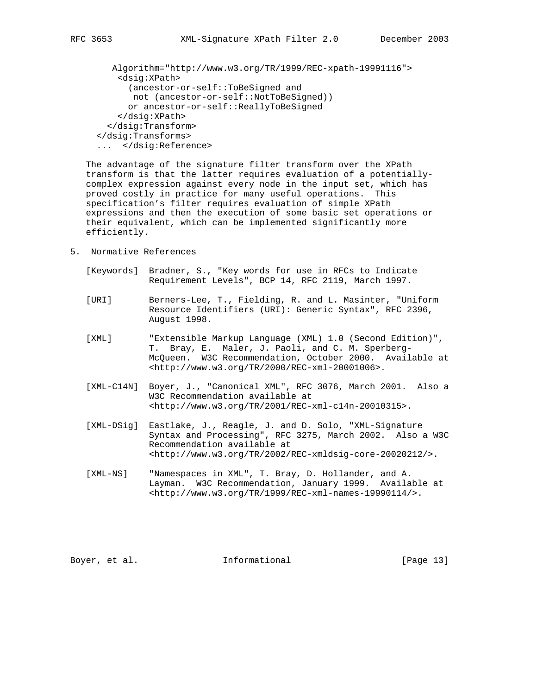```
 Algorithm="http://www.w3.org/TR/1999/REC-xpath-19991116">
     <dsig:XPath>
       (ancestor-or-self::ToBeSigned and
      not (ancestor-or-self::NotToBeSigned))
      or ancestor-or-self::ReallyToBeSigned
     </dsig:XPath>
  </dsig:Transform>
 </dsig:Transforms>
 ... </dsig:Reference>
```
 The advantage of the signature filter transform over the XPath transform is that the latter requires evaluation of a potentially complex expression against every node in the input set, which has proved costly in practice for many useful operations. This specification's filter requires evaluation of simple XPath expressions and then the execution of some basic set operations or their equivalent, which can be implemented significantly more efficiently.

- 5. Normative References
	- [Keywords] Bradner, S., "Key words for use in RFCs to Indicate Requirement Levels", BCP 14, RFC 2119, March 1997.
	- [URI] Berners-Lee, T., Fielding, R. and L. Masinter, "Uniform Resource Identifiers (URI): Generic Syntax", RFC 2396, August 1998.
	- [XML] "Extensible Markup Language (XML) 1.0 (Second Edition)", T. Bray, E. Maler, J. Paoli, and C. M. Sperberg- McQueen. W3C Recommendation, October 2000. Available at <http://www.w3.org/TR/2000/REC-xml-20001006>.
	- [XML-C14N] Boyer, J., "Canonical XML", RFC 3076, March 2001. Also a W3C Recommendation available at <http://www.w3.org/TR/2001/REC-xml-c14n-20010315>.
	- [XML-DSig] Eastlake, J., Reagle, J. and D. Solo, "XML-Signature Syntax and Processing", RFC 3275, March 2002. Also a W3C Recommendation available at <http://www.w3.org/TR/2002/REC-xmldsig-core-20020212/>.
	- [XML-NS] "Namespaces in XML", T. Bray, D. Hollander, and A. Layman. W3C Recommendation, January 1999. Available at <http://www.w3.org/TR/1999/REC-xml-names-19990114/>.

Boyer, et al. **Informational** [Page 13]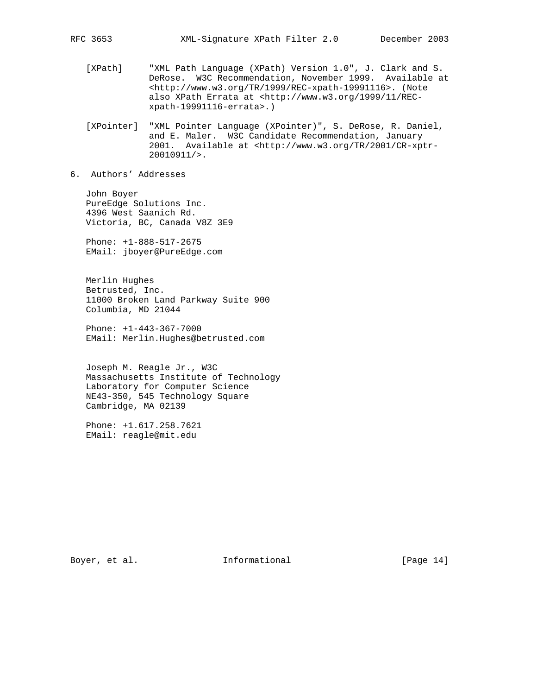- [XPath] "XML Path Language (XPath) Version 1.0", J. Clark and S. DeRose. W3C Recommendation, November 1999. Available at <http://www.w3.org/TR/1999/REC-xpath-19991116>. (Note also XPath Errata at <http://www.w3.org/1999/11/REC xpath-19991116-errata>.)
- [XPointer] "XML Pointer Language (XPointer)", S. DeRose, R. Daniel, and E. Maler. W3C Candidate Recommendation, January 2001. Available at <http://www.w3.org/TR/2001/CR-xptr- 20010911/>.
- 6. Authors' Addresses

 John Boyer PureEdge Solutions Inc. 4396 West Saanich Rd. Victoria, BC, Canada V8Z 3E9

 Phone: +1-888-517-2675 EMail: jboyer@PureEdge.com

 Merlin Hughes Betrusted, Inc. 11000 Broken Land Parkway Suite 900 Columbia, MD 21044

 Phone: +1-443-367-7000 EMail: Merlin.Hughes@betrusted.com

 Joseph M. Reagle Jr., W3C Massachusetts Institute of Technology Laboratory for Computer Science NE43-350, 545 Technology Square Cambridge, MA 02139

 Phone: +1.617.258.7621 EMail: reagle@mit.edu

Boyer, et al. 10 Informational 1999 [Page 14]